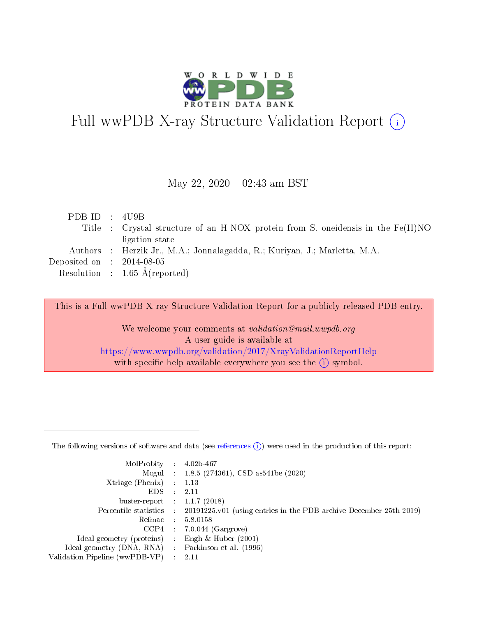

# Full wwPDB X-ray Structure Validation Report (i)

#### May 22,  $2020 - 02:43$  am BST

| PDB ID : $4 \text{UB}$      |                                                                                  |
|-----------------------------|----------------------------------------------------------------------------------|
|                             | Title : Crystal structure of an H-NOX protein from S. oneidensis in the Fe(II)NO |
|                             | ligation state                                                                   |
|                             | Authors : Herzik Jr., M.A.; Jonnalagadda, R.; Kuriyan, J.; Marletta, M.A.        |
| Deposited on : $2014-08-05$ |                                                                                  |
|                             | Resolution : $1.65 \text{ Å}$ (reported)                                         |
|                             |                                                                                  |

This is a Full wwPDB X-ray Structure Validation Report for a publicly released PDB entry.

We welcome your comments at validation@mail.wwpdb.org A user guide is available at <https://www.wwpdb.org/validation/2017/XrayValidationReportHelp> with specific help available everywhere you see the  $(i)$  symbol.

The following versions of software and data (see [references](https://www.wwpdb.org/validation/2017/XrayValidationReportHelp#references)  $(1)$ ) were used in the production of this report:

| MolProbity :                   |               | $4.02b - 467$                                                               |
|--------------------------------|---------------|-----------------------------------------------------------------------------|
|                                |               | Mogul : $1.8.5$ (274361), CSD as 541be (2020)                               |
| Xtriage (Phenix)               | $\mathcal{L}$ | 1.13                                                                        |
| EDS.                           |               | 2.11                                                                        |
| buster-report : $1.1.7$ (2018) |               |                                                                             |
| Percentile statistics :        |               | $20191225 \text{v}01$ (using entries in the PDB archive December 25th 2019) |
| Refmac :                       |               | 5.8.0158                                                                    |
| CCP4                           |               | $7.0.044$ (Gargrove)                                                        |
| Ideal geometry (proteins) :    |               | Engh $\&$ Huber (2001)                                                      |
| Ideal geometry (DNA, RNA) :    |               | Parkinson et al. (1996)                                                     |
| Validation Pipeline (wwPDB-VP) | $\mathcal{L}$ | 2.11                                                                        |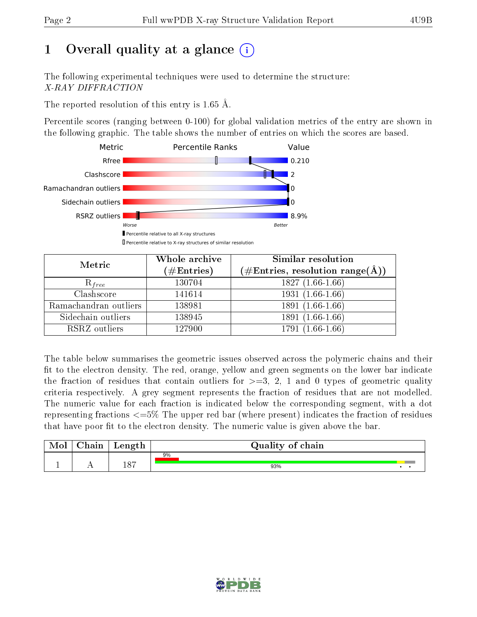# 1 [O](https://www.wwpdb.org/validation/2017/XrayValidationReportHelp#overall_quality)verall quality at a glance  $(i)$

The following experimental techniques were used to determine the structure: X-RAY DIFFRACTION

The reported resolution of this entry is 1.65 Å.

Percentile scores (ranging between 0-100) for global validation metrics of the entry are shown in the following graphic. The table shows the number of entries on which the scores are based.



| Metric                | Whole archive<br>$(\#\text{Entries})$ | Similar resolution<br>$(\#\text{Entries},\,\text{resolution}\,\,\text{range}(\textup{\AA}))$ |
|-----------------------|---------------------------------------|----------------------------------------------------------------------------------------------|
| $R_{free}$            | 130704                                | $1827(1.66-1.66)$                                                                            |
| Clashscore            | 141614                                | $1931(1.66-1.66)$                                                                            |
| Ramachandran outliers | 138981                                | $1891(1.66-1.66)$                                                                            |
| Sidechain outliers    | 138945                                | 1891 (1.66-1.66)                                                                             |
| RSRZ outliers         | 127900                                | 1791 (1.66-1.66)                                                                             |

The table below summarises the geometric issues observed across the polymeric chains and their fit to the electron density. The red, orange, yellow and green segments on the lower bar indicate the fraction of residues that contain outliers for  $>=3, 2, 1$  and 0 types of geometric quality criteria respectively. A grey segment represents the fraction of residues that are not modelled. The numeric value for each fraction is indicated below the corresponding segment, with a dot representing fractions  $\epsilon=5\%$  The upper red bar (where present) indicates the fraction of residues that have poor fit to the electron density. The numeric value is given above the bar.

| Mol       | $\sim$ 1<br>hain | Length | Quality of chain |
|-----------|------------------|--------|------------------|
|           |                  |        | 9%               |
| <u>д.</u> | . .              | 187    | 93%              |

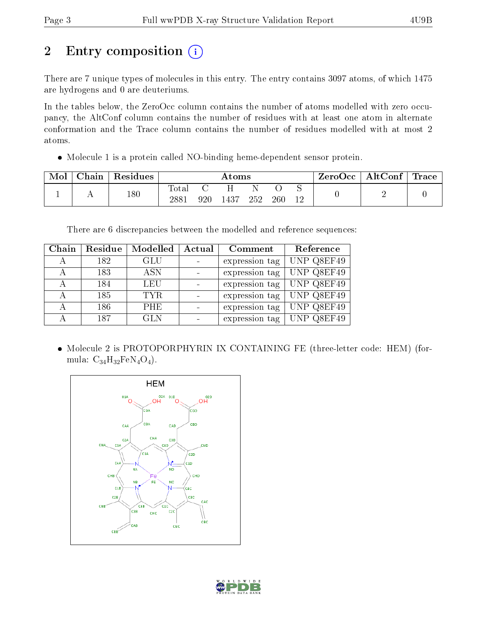# 2 Entry composition (i)

There are 7 unique types of molecules in this entry. The entry contains 3097 atoms, of which 1475 are hydrogens and 0 are deuteriums.

In the tables below, the ZeroOcc column contains the number of atoms modelled with zero occupancy, the AltConf column contains the number of residues with at least one atom in alternate conformation and the Trace column contains the number of residues modelled with at most 2 atoms.

Molecule 1 is a protein called NO-binding heme-dependent sensor protein.

| Mol | $\blacksquare$ Chain $\blacksquare$ | $\perp$ Residues |               |     | Atoms |     |     |    | $\text{ZeroOcc} \mid \text{AltConf} \mid \text{Trace}$ |  |
|-----|-------------------------------------|------------------|---------------|-----|-------|-----|-----|----|--------------------------------------------------------|--|
|     |                                     | 180              | Total<br>2881 | 920 | 1437  | 252 | 260 | 12 |                                                        |  |

There are 6 discrepancies between the modelled and reference sequences:

| Chain | Residue | Modelled   | Actual | Comment        | Reference  |
|-------|---------|------------|--------|----------------|------------|
|       | 182     | GLU        |        | expression tag | UNP Q8EF49 |
|       | 183     | <b>ASN</b> |        | expression tag | UNP Q8EF49 |
|       | 184     | LEU        |        | expression tag | UNP Q8EF49 |
|       | 185     | TYR.       |        | expression tag | UNP Q8EF49 |
|       | 186     | <b>PHE</b> |        | expression tag | UNP Q8EF49 |
|       | 187     | GLN        |        | expression tag | UNP Q8EF49 |

 Molecule 2 is PROTOPORPHYRIN IX CONTAINING FE (three-letter code: HEM) (formula:  $C_{34}H_{32}FeN_4O_4$ .



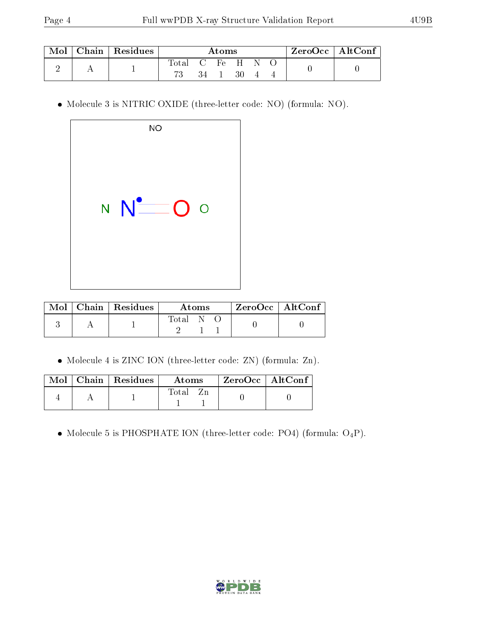|  | Chain   Residues | Atoms |    |                       |    | $\rm ZeroOcc$   Alt $\rm Conf$ |  |  |  |
|--|------------------|-------|----|-----------------------|----|--------------------------------|--|--|--|
|  |                  | fotal |    | $\cdot$ C Fe H $\sim$ |    | -N-                            |  |  |  |
|  |                  |       | 34 |                       | 30 |                                |  |  |  |

Molecule 3 is NITRIC OXIDE (three-letter code: NO) (formula: NO).

| <b>NO</b>               |  |
|-------------------------|--|
| $N$ $\bullet$ $\bullet$ |  |

|  | $\text{Mol}$   Chain   Residues | Atoms | $ZeroOcc \mid AltConf$ |
|--|---------------------------------|-------|------------------------|
|  |                                 | Total |                        |

Molecule 4 is ZINC ION (three-letter code: ZN) (formula: Zn).

|  | $\boxed{\text{Mol}$ Chain   Residues | – Atoms | ZeroOcc   AltConf |  |
|--|--------------------------------------|---------|-------------------|--|
|  |                                      | Total   |                   |  |

 $\bullet$  Molecule 5 is PHOSPHATE ION (three-letter code: PO4) (formula:  $\mathrm{O_4P})$ .

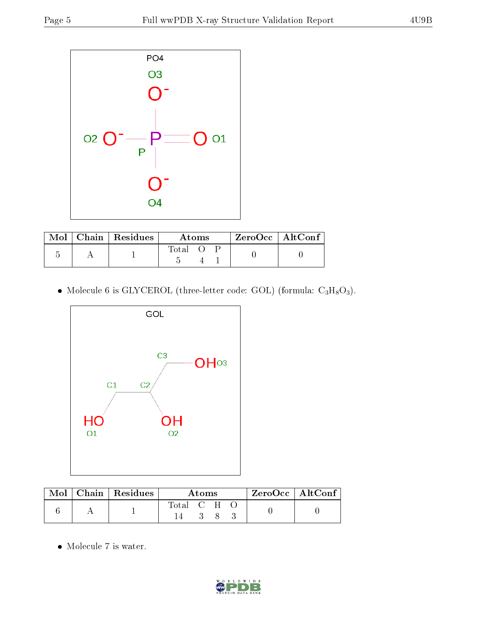

|  | $Mol$   Chain   Residues |             | Atoms |  | $ZeroOcc$   AltConf |
|--|--------------------------|-------------|-------|--|---------------------|
|  |                          | $\rm Total$ |       |  |                     |

• Molecule 6 is GLYCEROL (three-letter code: GOL) (formula:  $C_3H_8O_3$ ).



|  | $\text{Mol}$   Chain   Residues | Atoms.      |  |    |  | $ZeroOcc \mid Alt\overline{Conf}$ |  |
|--|---------------------------------|-------------|--|----|--|-----------------------------------|--|
|  |                                 | Total C H O |  | 83 |  |                                   |  |

 $\bullet\,$  Molecule 7 is water.

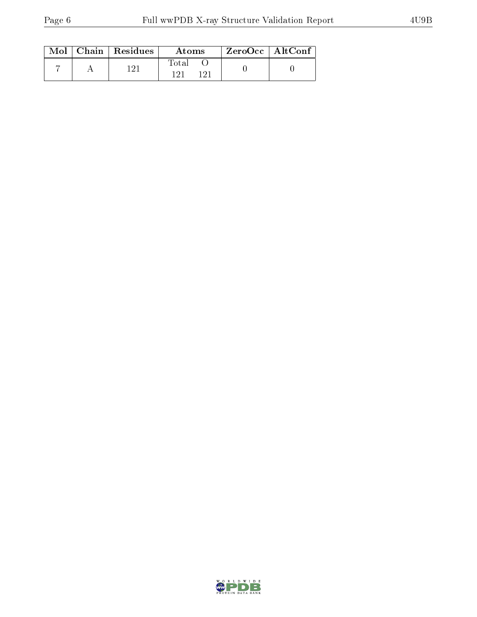|  | $Mol$   Chain   Residues | Atoms | $ZeroOcc \mid AltConf$ |  |
|--|--------------------------|-------|------------------------|--|
|  | 1 ດ 1                    | Total |                        |  |

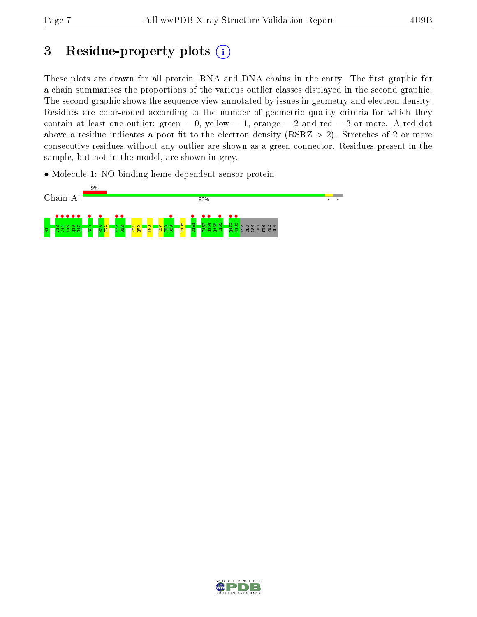## 3 Residue-property plots  $(i)$

These plots are drawn for all protein, RNA and DNA chains in the entry. The first graphic for a chain summarises the proportions of the various outlier classes displayed in the second graphic. The second graphic shows the sequence view annotated by issues in geometry and electron density. Residues are color-coded according to the number of geometric quality criteria for which they contain at least one outlier: green  $= 0$ , yellow  $= 1$ , orange  $= 2$  and red  $= 3$  or more. A red dot above a residue indicates a poor fit to the electron density (RSRZ  $> 2$ ). Stretches of 2 or more consecutive residues without any outlier are shown as a green connector. Residues present in the sample, but not in the model, are shown in grey.

• Molecule 1: NO-binding heme-dependent sensor protein



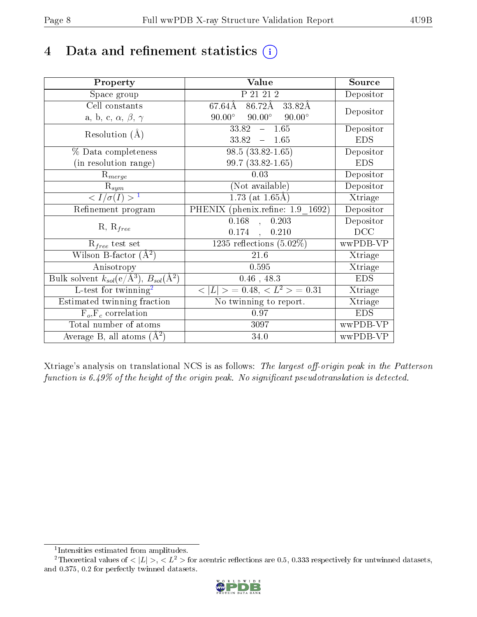## 4 Data and refinement statistics  $(i)$

| Property                                                             | Value                                              | Source     |
|----------------------------------------------------------------------|----------------------------------------------------|------------|
| Space group                                                          | $P$ $\overline{21}$ $\overline{21}$ $\overline{2}$ | Depositor  |
| Cell constants                                                       | $86.72\text{\AA}$<br>67.64Å<br>33.82Å              | Depositor  |
| a, b, c, $\alpha$ , $\beta$ , $\gamma$                               | $90.00^\circ$<br>$90.00^{\circ}$ $90.00^{\circ}$   |            |
| Resolution $(A)$                                                     | 33.82<br>$-1.65$                                   | Depositor  |
|                                                                      | $33.82 = 1.65$                                     | <b>EDS</b> |
| $\%$ Data completeness                                               | $98.5(33.82 - 1.65)$                               | Depositor  |
| (in resolution range)                                                | 99.7 (33.82-1.65)                                  | <b>EDS</b> |
| $R_{merge}$                                                          | 0.03                                               | Depositor  |
| $\mathbf{R}_{\underline{sym}}$                                       | (Not available)                                    | Depositor  |
| $\langle I/\sigma(I) \rangle^{-1}$                                   | $1.73$ (at 1.65Å)                                  | Xtriage    |
| Refinement program                                                   | PHENIX (phenix.refine: 1.9 1692)                   | Depositor  |
| $R, R_{free}$                                                        | $\overline{0.168}$ ,<br>0.203                      | Depositor  |
|                                                                      | $0.174$ ,<br>0.210                                 | DCC        |
| $R_{free}$ test set                                                  | 1235 reflections $(5.02\%)$                        | wwPDB-VP   |
| Wilson B-factor $(A^2)$                                              | $21.6\,$                                           | Xtriage    |
| Anisotropy                                                           | 0.595                                              | Xtriage    |
| Bulk solvent $k_{sol}(e/\mathring{A}^3)$ , $B_{sol}(\mathring{A}^2)$ | $0.46$ , 48.3                                      | EDS.       |
| L-test for twinning <sup>2</sup>                                     | $< L >$ = 0.48, $< L2$ = 0.31                      | Xtriage    |
| Estimated twinning fraction                                          | No twinning to report.                             | Xtriage    |
| $\overline{F_o, F_c}$ correlation                                    | 0.97                                               | <b>EDS</b> |
| Total number of atoms                                                | 3097                                               | wwPDB-VP   |
| Average B, all atoms $(A^2)$                                         | 34.0                                               | wwPDB-VP   |

Xtriage's analysis on translational NCS is as follows: The largest off-origin peak in the Patterson function is  $6.49\%$  of the height of the origin peak. No significant pseudotranslation is detected.

<sup>&</sup>lt;sup>2</sup>Theoretical values of  $\langle |L| \rangle$ ,  $\langle L^2 \rangle$  for acentric reflections are 0.5, 0.333 respectively for untwinned datasets, and 0.375, 0.2 for perfectly twinned datasets.



<span id="page-7-1"></span><span id="page-7-0"></span><sup>1</sup> Intensities estimated from amplitudes.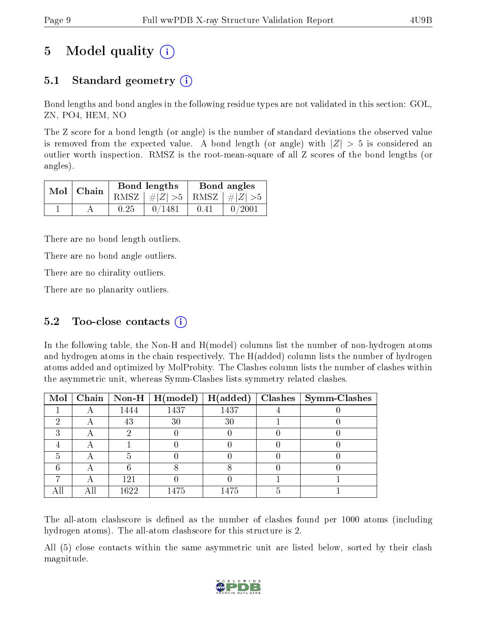# 5 Model quality  $(i)$

## 5.1 Standard geometry  $\overline{()}$

Bond lengths and bond angles in the following residue types are not validated in this section: GOL, ZN, PO4, HEM, NO

The Z score for a bond length (or angle) is the number of standard deviations the observed value is removed from the expected value. A bond length (or angle) with  $|Z| > 5$  is considered an outlier worth inspection. RMSZ is the root-mean-square of all Z scores of the bond lengths (or angles).

| $Mol$   Chain |      | Bond lengths                    |      | Bond angles |
|---------------|------|---------------------------------|------|-------------|
|               |      | RMSZ $ #Z  > 5$ RMSZ $ #Z  > 5$ |      |             |
|               | 0.25 | 0/1481                          | 0.41 | 0/2001      |

There are no bond length outliers.

There are no bond angle outliers.

There are no chirality outliers.

There are no planarity outliers.

### 5.2 Too-close contacts  $(i)$

In the following table, the Non-H and H(model) columns list the number of non-hydrogen atoms and hydrogen atoms in the chain respectively. The H(added) column lists the number of hydrogen atoms added and optimized by MolProbity. The Clashes column lists the number of clashes within the asymmetric unit, whereas Symm-Clashes lists symmetry related clashes.

| Mol |   |      | Chain   Non-H   $H (model)$ | H(added) | $Clashes$   Symm-Clashes |
|-----|---|------|-----------------------------|----------|--------------------------|
|     |   | 1444 | 1437                        | 1437     |                          |
|     |   | 43   | 30                          | 30       |                          |
|     |   |      |                             |          |                          |
|     |   |      |                             |          |                          |
|     | Α |      |                             |          |                          |
|     |   |      |                             |          |                          |
|     |   | 121  |                             |          |                          |
|     |   | 1622 | 1475                        | 1475     |                          |

The all-atom clashscore is defined as the number of clashes found per 1000 atoms (including hydrogen atoms). The all-atom clashscore for this structure is 2.

All (5) close contacts within the same asymmetric unit are listed below, sorted by their clash magnitude.

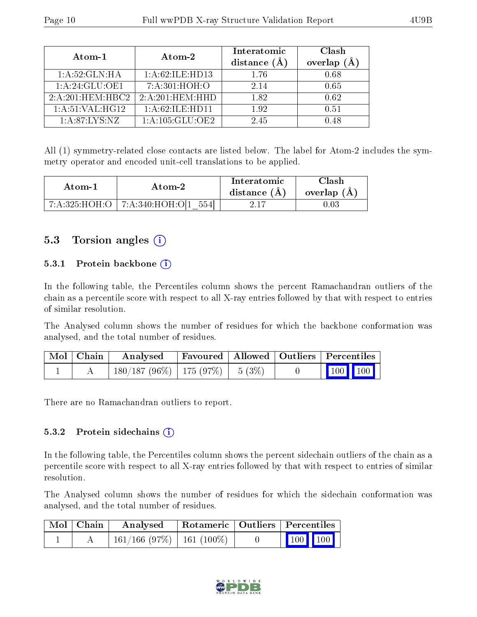| Atom-1              | Atom-2                       | Interatomic<br>distance $(A)$ | Clash<br>overlap (Å |
|---------------------|------------------------------|-------------------------------|---------------------|
| 1: A:52: GLN: HA    | 1:A:62:ILE:HD13              | 1.76                          | 0.68                |
| 1:A:24:GLU:OE1      | 7: A:301:HOH:O               | 2.14                          | 0.65                |
| $2:A:201.$ HEM:HBC2 | $2:A:20\overline{1:HEM:HHD}$ | 182                           | 0.62                |
| 1: A:51:VAL:HG12    | 1:A:62:ILE:HD11              | 1.92                          | 0.51                |
| 1: A:87:IXS:NZ      | 1: A: 105: GLU: OE2          | 2.45                          | N 48                |

All (1) symmetry-related close contacts are listed below. The label for Atom-2 includes the symmetry operator and encoded unit-cell translations to be applied.

| Atom-1 | Atom-2                               | Interatomic<br>distance $(A)$ | Clash<br>overlap $(A)$ |
|--------|--------------------------------------|-------------------------------|------------------------|
|        | 7:A:325:HOH:O   7:A:340:HOH:O[1 554] |                               |                        |

### 5.3 Torsion angles (i)

#### 5.3.1 Protein backbone  $(i)$

In the following table, the Percentiles column shows the percent Ramachandran outliers of the chain as a percentile score with respect to all X-ray entries followed by that with respect to entries of similar resolution.

The Analysed column shows the number of residues for which the backbone conformation was analysed, and the total number of residues.

| Mol   Chain | Analysed                                | Favoured   Allowed   Outliers   Percentiles |  |                         |
|-------------|-----------------------------------------|---------------------------------------------|--|-------------------------|
|             | $180/187 (96\%)$   175 (97\%)   5 (3\%) |                                             |  | $\vert$ 100 100 $\vert$ |

There are no Ramachandran outliers to report.

#### 5.3.2 Protein sidechains (i)

In the following table, the Percentiles column shows the percent sidechain outliers of the chain as a percentile score with respect to all X-ray entries followed by that with respect to entries of similar resolution.

The Analysed column shows the number of residues for which the sidechain conformation was analysed, and the total number of residues.

| Mol   Chain | Analysed                       | Rotameric   Outliers   Percentiles |                                                              |  |
|-------------|--------------------------------|------------------------------------|--------------------------------------------------------------|--|
|             | $161/166$ (97\%)   161 (100\%) |                                    | $\begin{array}{ c c c c c }\n\hline\n100 & 100\n\end{array}$ |  |

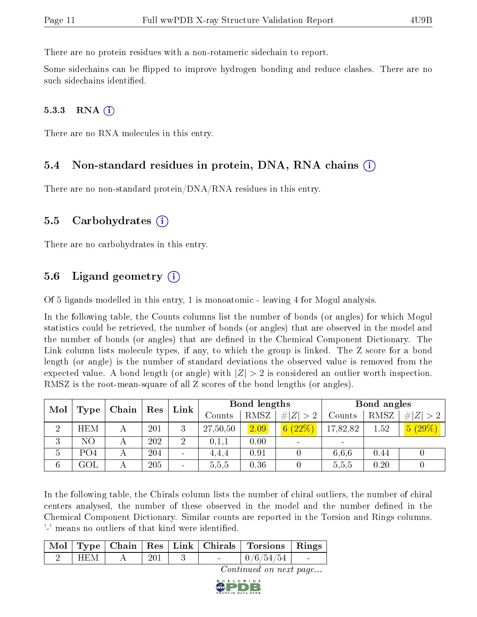There are no protein residues with a non-rotameric sidechain to report.

Some sidechains can be flipped to improve hydrogen bonding and reduce clashes. There are no such sidechains identified.

#### $5.3.3$  RNA  $(i)$

There are no RNA molecules in this entry.

#### 5.4 Non-standard residues in protein, DNA, RNA chains (i)

There are no non-standard protein/DNA/RNA residues in this entry.

#### 5.5 Carbohydrates (i)

There are no carbohydrates in this entry.

#### 5.6 Ligand geometry  $(i)$

Of 5 ligands modelled in this entry, 1 is monoatomic - leaving 4 for Mogul analysis.

In the following table, the Counts columns list the number of bonds (or angles) for which Mogul statistics could be retrieved, the number of bonds (or angles) that are observed in the model and the number of bonds (or angles) that are defined in the Chemical Component Dictionary. The Link column lists molecule types, if any, to which the group is linked. The Z score for a bond length (or angle) is the number of standard deviations the observed value is removed from the expected value. A bond length (or angle) with  $|Z| > 2$  is considered an outlier worth inspection. RMSZ is the root-mean-square of all Z scores of the bond lengths (or angles).

|                 | Mol<br>Type     |       | Res |      | <b>Bond lengths</b> |      |             | Bond angles |      |             |
|-----------------|-----------------|-------|-----|------|---------------------|------|-------------|-------------|------|-------------|
|                 |                 | Chain |     | Link | Counts              | RMSZ | # $ Z  > 2$ | Counts      | RMSZ | # $ Z  > 2$ |
| $\overline{2}$  | <b>HEM</b>      |       | 201 | 3    | 27,50,50            | 2.09 | 6(22%)      | 17,82,82    | 1.52 | 5(29%)      |
| 3               | NΟ              |       | 202 | 2    | 0,1,1               | 0.00 |             | $\equiv$    |      |             |
| 5               | PO <sub>4</sub> |       | 204 |      | 4,4,4               | 0.91 |             | 6.6.6       | 0.44 |             |
| $6\phantom{.}6$ | GOL             |       | 205 |      | 5,5,5               | 0.36 |             | 5.5,5       | 0.20 |             |

In the following table, the Chirals column lists the number of chiral outliers, the number of chiral centers analysed, the number of these observed in the model and the number defined in the Chemical Component Dictionary. Similar counts are reported in the Torsion and Rings columns. '-' means no outliers of that kind were identified.

|         |     |  | Mol   Type   Chain   Res   Link   Chirals   Torsions   Rings |  |
|---------|-----|--|--------------------------------------------------------------|--|
| - HEM - | 201 |  | $\mid 0/6/54/54 \mid$                                        |  |

Continued on next page...

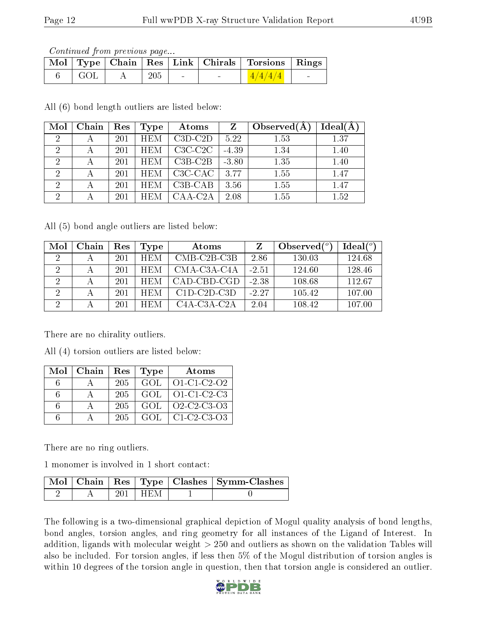Continued from previous page...

|       |     |  | Mol   Type   Chain   Res   Link   Chirals   Torsions   Rings |                |
|-------|-----|--|--------------------------------------------------------------|----------------|
| - GOL | 205 |  | 1/4/4/4                                                      | <b>Service</b> |

All (6) bond length outliers are listed below:

| Mol            | Chain | Res | Type       | Atoms                            | Z       | Observed $(A)$ | Ideal(A |
|----------------|-------|-----|------------|----------------------------------|---------|----------------|---------|
| $\overline{2}$ |       | 201 | <b>HEM</b> | $C3D-C2D$                        | 5.22    | 1.53           | 1.37    |
| $\overline{2}$ |       | 201 | <b>HEM</b> | $C3C-C2C$                        | $-4.39$ | 1.34           | 1.40    |
| $\overline{2}$ |       | 201 | <b>HEM</b> | $C3B-C2B$                        | $-3.80$ | 1.35           | 1.40    |
| $\overline{2}$ |       | 201 | <b>HEM</b> | C <sub>3</sub> C-C <sub>AC</sub> | 3.77    | 1.55           | 1.47    |
| $\overline{2}$ |       | 201 | <b>HEM</b> | $C3B-CAB$                        | 3.56    | 1.55           | 1.47    |
| $\overline{2}$ |       | 201 |            | CAA-C2A                          | 2.08    | 1.55           | 1.52    |

All (5) bond angle outliers are listed below:

| Mol | Chain | Res | Type       | Atoms         |         | Observed $\binom{o}{c}$ | Ideal(°) |
|-----|-------|-----|------------|---------------|---------|-------------------------|----------|
| 2   |       | 201 | <b>HEM</b> | $CMB-C2B-C3B$ | 2.86    | 130.03                  | 124.68   |
| 2   |       | 201 | <b>HEM</b> | $CMA-C3A-C4A$ | $-2.51$ | 124.60                  | 128.46   |
| 2   |       | 201 | HEM        | CAD-CBD-CGD   | $-2.38$ | 108.68                  | 112.67   |
| 9   |       | 201 | HEM        | $C1D-C2D-C3D$ | $-2.27$ | 105.42                  | 107.00   |
|     |       | 201 | <b>HEM</b> | $C4A-C3A-C2A$ | 2.04    | 108.42                  | 107.00   |

There are no chirality outliers.

All (4) torsion outliers are listed below:

| Mol | Chain | Res | Type | Atoms               |
|-----|-------|-----|------|---------------------|
|     |       | 205 | GOL. | $O1 - C1 - C2 - O2$ |
| 6   |       | 205 | GOL. | $O1-C1-C2-C3$       |
| 6   |       | 205 | GOL. | Q2-C2-C3-Q3         |
| Б   |       | 205 | GOL. | $C1-C2-C3-O3$       |

There are no ring outliers.

1 monomer is involved in 1 short contact:

|  |             | Mol   Chain   Res   Type   Clashes   Symm-Clashes |
|--|-------------|---------------------------------------------------|
|  | $201$   HEM |                                                   |

The following is a two-dimensional graphical depiction of Mogul quality analysis of bond lengths, bond angles, torsion angles, and ring geometry for all instances of the Ligand of Interest. In addition, ligands with molecular weight > 250 and outliers as shown on the validation Tables will also be included. For torsion angles, if less then 5% of the Mogul distribution of torsion angles is within 10 degrees of the torsion angle in question, then that torsion angle is considered an outlier.

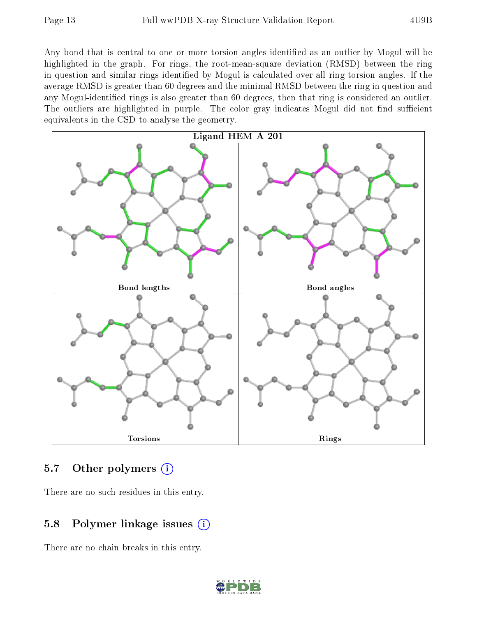Any bond that is central to one or more torsion angles identified as an outlier by Mogul will be highlighted in the graph. For rings, the root-mean-square deviation (RMSD) between the ring in question and similar rings identified by Mogul is calculated over all ring torsion angles. If the average RMSD is greater than 60 degrees and the minimal RMSD between the ring in question and any Mogul-identified rings is also greater than 60 degrees, then that ring is considered an outlier. The outliers are highlighted in purple. The color gray indicates Mogul did not find sufficient equivalents in the CSD to analyse the geometry.



### 5.7 [O](https://www.wwpdb.org/validation/2017/XrayValidationReportHelp#nonstandard_residues_and_ligands)ther polymers  $(i)$

There are no such residues in this entry.

## 5.8 Polymer linkage issues  $(i)$

There are no chain breaks in this entry.

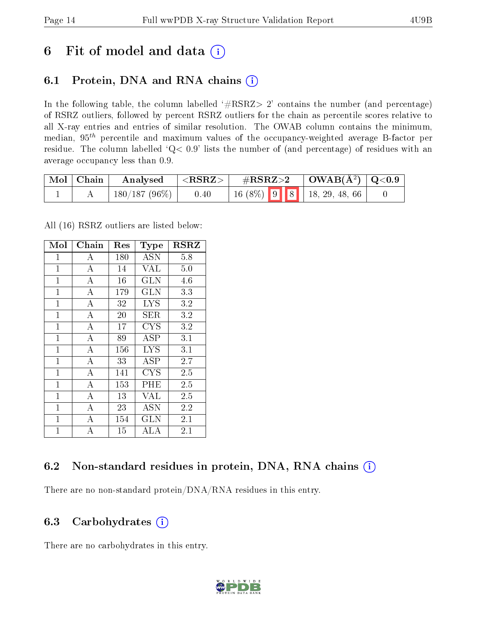## 6 Fit of model and data  $(i)$

## 6.1 Protein, DNA and RNA chains  $(i)$

In the following table, the column labelled  $#RSRZ> 2'$  contains the number (and percentage) of RSRZ outliers, followed by percent RSRZ outliers for the chain as percentile scores relative to all X-ray entries and entries of similar resolution. The OWAB column contains the minimum, median,  $95<sup>th</sup>$  percentile and maximum values of the occupancy-weighted average B-factor per residue. The column labelled ' $Q< 0.9$ ' lists the number of (and percentage) of residues with an average occupancy less than 0.9.

| Mol   Chain | Analysed        | ${ <\hspace{-1.5pt}{\mathrm{RSRZ}} \hspace{-1.5pt}>}$ . | $\rm \#RSRZ{>}2$ | $\vert$ OWAB(Å <sup>2</sup> ) $\vert$ Q<0.9                                                      |  |
|-------------|-----------------|---------------------------------------------------------|------------------|--------------------------------------------------------------------------------------------------|--|
|             | $180/187(96\%)$ | 0.40                                                    |                  | $\begin{array}{ c c c c c c c c } \hline 16 & (8\%) & 9 & 8 & 18, 29, 48, 66 \hline \end{array}$ |  |

All (16) RSRZ outliers are listed below:

| Mol            | ${\rm Chain}$      | Res | Type         | <b>RSRZ</b>      |
|----------------|--------------------|-----|--------------|------------------|
| $\mathbf 1$    | А                  | 180 | <b>ASN</b>   | 5.8              |
| $\mathbf{1}$   | $\bf{A}$           | 14  | <b>VAL</b>   | 5.0              |
| $\mathbf{1}$   | $\overline{A}$     | 16  | $_{\rm GLN}$ | 4.6              |
| $\mathbf{1}$   | $\bf{A}$           | 179 | <b>GLN</b>   | 3.3              |
| $\mathbf{1}$   | $\overline{\rm A}$ | 32  | <b>LYS</b>   | 3.2              |
| $\mathbf 1$    | А                  | 20  | SER          | 3.2              |
| $\mathbf{1}$   | $\overline{A}$     | 17  | <b>CYS</b>   | 3.2              |
| $\mathbf{1}$   | $\overline{A}$     | 89  | ASP          | 3.1              |
| $\mathbf{1}$   | $\boldsymbol{A}$   | 156 | <b>LYS</b>   | 3.1              |
| $\mathbf{1}$   | $\overline{\rm A}$ | 33  | ASP          | $\overline{2.7}$ |
| $\overline{1}$ | $\overline{A}$     | 141 | <b>CYS</b>   | 2.5              |
| $\mathbf{1}$   | А                  | 153 | PHE          | 2.5              |
| $\mathbf 1$    | А                  | 13  | VAL          | 2.5              |
| $\overline{1}$ | $\overline{A}$     | 23  | <b>ASN</b>   | 2.2              |
| $\mathbf{1}$   | $\boldsymbol{A}$   | 154 | GLN          | 2.1              |
| $\overline{1}$ | A                  | 15  | $_{\rm ALA}$ | 2.1              |

### 6.2 Non-standard residues in protein, DNA, RNA chains  $(i)$

There are no non-standard protein/DNA/RNA residues in this entry.

#### 6.3 Carbohydrates (i)

There are no carbohydrates in this entry.

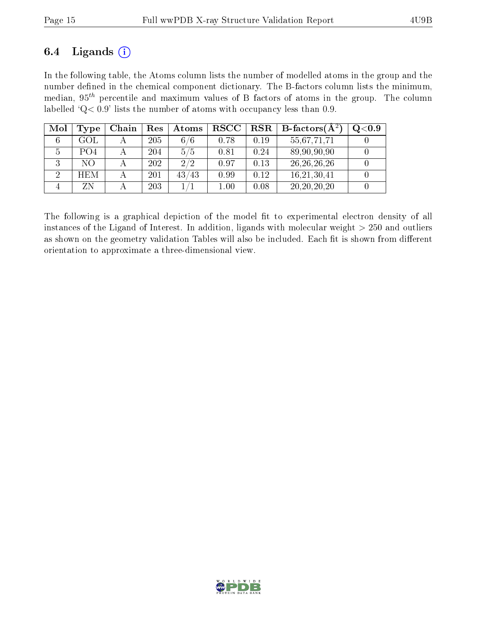### 6.4 Ligands  $(i)$

In the following table, the Atoms column lists the number of modelled atoms in the group and the number defined in the chemical component dictionary. The B-factors column lists the minimum, median,  $95<sup>th</sup>$  percentile and maximum values of B factors of atoms in the group. The column labelled ' $Q< 0.9$ ' lists the number of atoms with occupancy less than 0.9.

| Mol          | Type                        | Chain | Res | Atoms | $_{\rm RSCC}$ | <b>RSR</b> | <b>B</b> -factors( $\AA^2$ ) | $\rm Q\textcolor{black}{<}0.9$ |
|--------------|-----------------------------|-------|-----|-------|---------------|------------|------------------------------|--------------------------------|
|              | GOL                         |       | 205 | 6/6   | 0.78          | 0.19       | 55,67,71,71                  |                                |
| <sup>5</sup> | P <sub>O</sub> <sub>4</sub> |       | 204 | 5/5   | 0.81          | 0.24       | 89,90,90,90                  |                                |
|              | NО                          |       | 202 | 2/2   | 0.97          | 0.13       | 26, 26, 26, 26               |                                |
|              | <b>HEM</b>                  |       | 201 | 43/43 | 0.99          | 0.12       | 16,21,30,41                  |                                |
|              | ΖN                          |       | 203 |       | $1.00\,$      | 0.08       | 20, 20, 20, 20               |                                |

The following is a graphical depiction of the model fit to experimental electron density of all instances of the Ligand of Interest. In addition, ligands with molecular weight  $> 250$  and outliers as shown on the geometry validation Tables will also be included. Each fit is shown from different orientation to approximate a three-dimensional view.